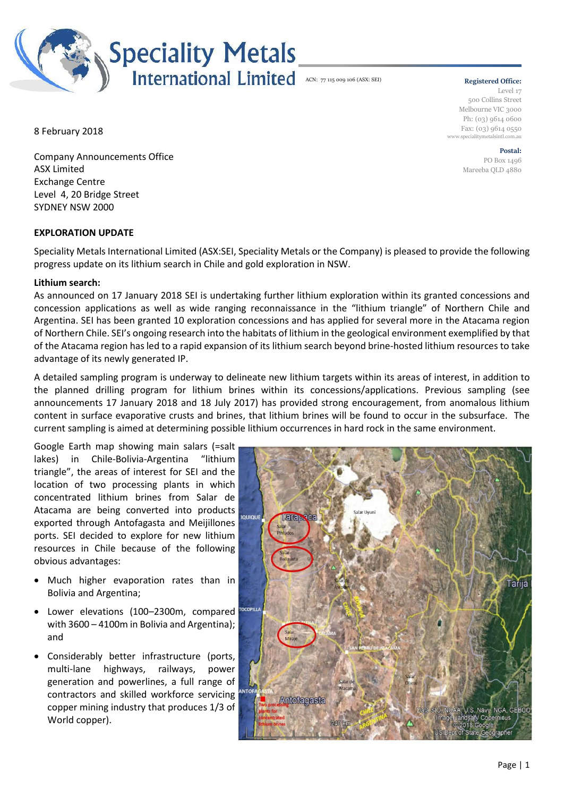

#### **Registered Office:** Level 17 500 Collins Street Melbourne VIC 3000 Ph: (03) 9614 0600 Fax: (03) 9614 0550 www.specialitymetalsintl.com.au

**Postal:** PO Box 1496 Mareeba QLD 4880

8 February 2018

Company Announcements Office ASX Limited Exchange Centre Level 4, 20 Bridge Street SYDNEY NSW 2000

# **EXPLORATION UPDATE**

Speciality Metals International Limited (ASX:SEI, Speciality Metals or the Company) is pleased to provide the following progress update on its lithium search in Chile and gold exploration in NSW.

# **Lithium search:**

As announced on 17 January 2018 SEI is undertaking further lithium exploration within its granted concessions and concession applications as well as wide ranging reconnaissance in the "lithium triangle" of Northern Chile and Argentina. SEI has been granted 10 exploration concessions and has applied for several more in the Atacama region of Northern Chile. SEI's ongoing research into the habitats of lithium in the geological environment exemplified by that of the Atacama region has led to a rapid expansion of its lithium search beyond brine-hosted lithium resources to take advantage of its newly generated IP.

A detailed sampling program is underway to delineate new lithium targets within its areas of interest, in addition to the planned drilling program for lithium brines within its concessions/applications. Previous sampling (see announcements 17 January 2018 and 18 July 2017) has provided strong encouragement, from anomalous lithium content in surface evaporative crusts and brines, that lithium brines will be found to occur in the subsurface. The current sampling is aimed at determining possible lithium occurrences in hard rock in the same environment.

Google Earth map showing main salars (=salt lakes) in Chile-Bolivia-Argentina "lithium triangle", the areas of interest for SEI and the location of two processing plants in which concentrated lithium brines from Salar de Atacama are being converted into products exported through Antofagasta and Meijillones ports. SEI decided to explore for new lithium resources in Chile because of the following obvious advantages:

- Much higher evaporation rates than in Bolivia and Argentina;
- Lower elevations (100–2300m, compared with 3600 – 4100m in Bolivia and Argentina); and
- Considerably better infrastructure (ports, multi-lane highways, railways, power generation and powerlines, a full range of contractors and skilled workforce servicing copper mining industry that produces 1/3 of World copper).

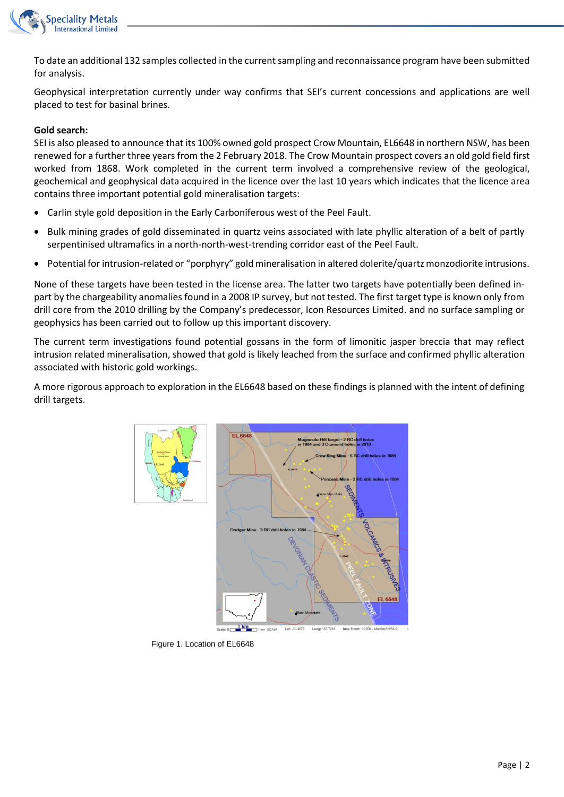

To date an additional 132 samples collected in the current sampling and reconnaissance program have been submitted for analysis.

Geophysical interpretation currently under way confirms that SEI's current concessions and applications are well placed to test for basinal brines.

## **Gold search:**

SEI is also pleased to announce that its 100% owned gold prospect Crow Mountain, EL6648 in northern NSW, has been renewed for a further three years from the 2 February 2018. The Crow Mountain prospect covers an old gold field first worked from 1868. Work completed in the current term involved a comprehensive review of the geological, geochemical and geophysical data acquired in the licence over the last 10 years which indicates that the licence area contains three important potential gold mineralisation targets:

- Carlin style gold deposition in the Early Carboniferous west of the Peel Fault.
- Bulk mining grades of gold disseminated in quartz veins associated with late phyllic alteration of a belt of partly serpentinised ultramafics in a north-north-west-trending corridor east of the Peel Fault.
- Potential for intrusion-related or "porphyry" gold mineralisation in altered dolerite/quartz monzodiorite intrusions.

None of these targets have been tested in the license area. The latter two targets have potentially been defined inpart by the chargeability anomalies found in a 2008 IP survey, but not tested. The first target type is known only from drill core from the 2010 drilling by the Company's predecessor, Icon Resources Limited. and no surface sampling or geophysics has been carried out to follow up this important discovery.

The current term investigations found potential gossans in the form of limonitic jasper breccia that may reflect intrusion related mineralisation, showed that gold is likely leached from the surface and confirmed phyllic alteration associated with historic gold workings.

A more rigorous approach to exploration in the EL6648 based on these findings is planned with the intent of defining drill targets.



Figure 1. Location of EL6648